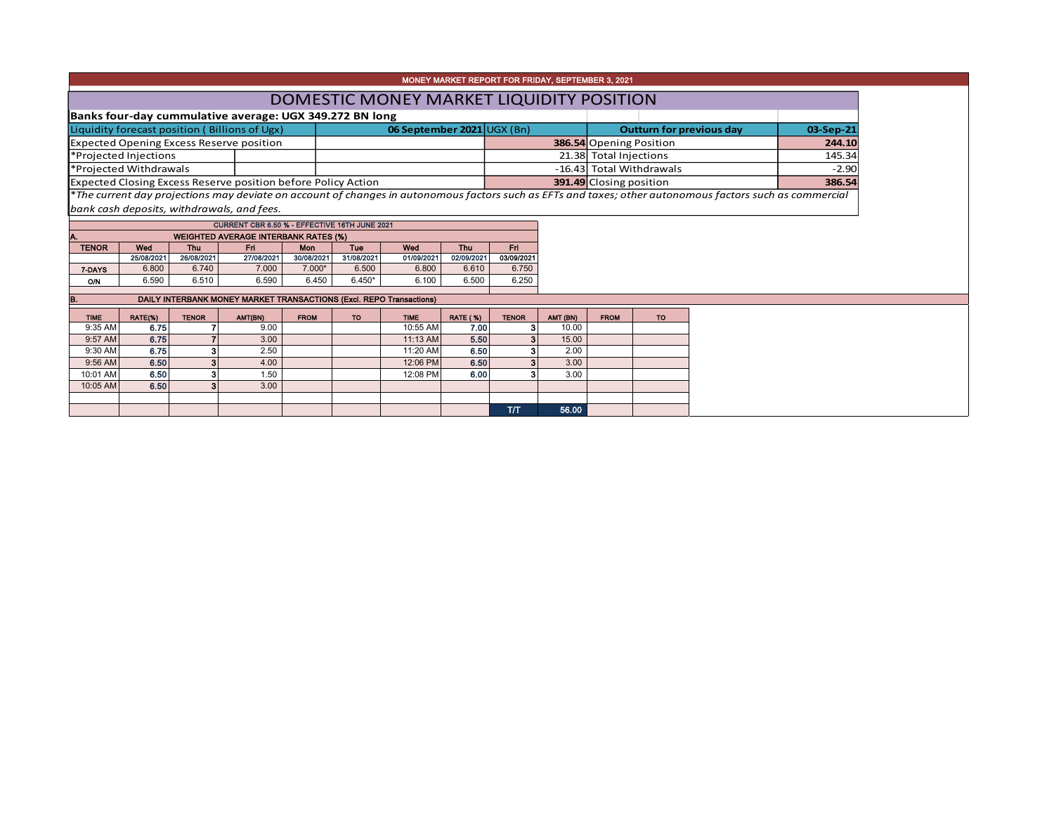|                                                               |                     |                     |                                                                     |                        |                     |                                          |                     | MONEY MARKET REPORT FOR FRIDAY, SEPTEMBER 3, 2021 |                          |                                |                                 |                                                                                                                                                          |         |  |  |
|---------------------------------------------------------------|---------------------|---------------------|---------------------------------------------------------------------|------------------------|---------------------|------------------------------------------|---------------------|---------------------------------------------------|--------------------------|--------------------------------|---------------------------------|----------------------------------------------------------------------------------------------------------------------------------------------------------|---------|--|--|
|                                                               |                     |                     |                                                                     |                        |                     | DOMESTIC MONEY MARKET LIQUIDITY POSITION |                     |                                                   |                          |                                |                                 |                                                                                                                                                          |         |  |  |
|                                                               |                     |                     | Banks four-day cummulative average: UGX 349.272 BN long             |                        |                     |                                          |                     |                                                   |                          |                                |                                 |                                                                                                                                                          |         |  |  |
|                                                               |                     |                     | Liquidity forecast position (Billions of Ugx)                       |                        |                     | 06 September 2021 UGX (Bn)               |                     |                                                   |                          |                                | <b>Outturn for previous day</b> | 03-Sep-21                                                                                                                                                |         |  |  |
|                                                               |                     |                     | <b>Expected Opening Excess Reserve position</b>                     |                        |                     |                                          |                     |                                                   |                          | <b>386.54 Opening Position</b> |                                 | 244.10                                                                                                                                                   |         |  |  |
| *Projected Injections                                         |                     |                     |                                                                     |                        |                     |                                          |                     |                                                   | 21.38 Total Injections   |                                |                                 |                                                                                                                                                          | 145.34  |  |  |
| *Projected Withdrawals                                        |                     |                     |                                                                     |                        |                     |                                          |                     |                                                   | -16.43 Total Withdrawals |                                |                                 |                                                                                                                                                          | $-2.90$ |  |  |
| Expected Closing Excess Reserve position before Policy Action |                     |                     |                                                                     |                        |                     |                                          |                     |                                                   | 391.49 Closing position  |                                | 386.54                          |                                                                                                                                                          |         |  |  |
|                                                               |                     |                     |                                                                     |                        |                     |                                          |                     |                                                   |                          |                                |                                 | *The current day projections may deviate on account of changes in autonomous factors such as EFTs and taxes; other autonomous factors such as commercial |         |  |  |
|                                                               |                     |                     | bank cash deposits, withdrawals, and fees.                          |                        |                     |                                          |                     |                                                   |                          |                                |                                 |                                                                                                                                                          |         |  |  |
|                                                               |                     |                     | CURRENT CBR 6.50 % - EFFECTIVE 16TH JUNE 2021                       |                        |                     |                                          |                     |                                                   |                          |                                |                                 |                                                                                                                                                          |         |  |  |
| Α.                                                            |                     |                     | <b>WEIGHTED AVERAGE INTERBANK RATES (%)</b>                         |                        |                     |                                          |                     |                                                   |                          |                                |                                 |                                                                                                                                                          |         |  |  |
| <b>TENOR</b>                                                  | Wed                 | Thu                 | <b>Fri</b>                                                          | Mon                    | Tue                 | Wed                                      | Thu                 | Fri.                                              |                          |                                |                                 |                                                                                                                                                          |         |  |  |
|                                                               | 25/08/2021<br>6.800 | 26/08/2021<br>6.740 | 27/08/2021<br>7.000                                                 | 30/08/2021<br>$7.000*$ | 31/08/2021<br>6.500 | 01/09/2021<br>6.800                      | 02/09/2021<br>6.610 | 03/09/2021<br>6.750                               |                          |                                |                                 |                                                                                                                                                          |         |  |  |
| 7-DAYS<br>O/N                                                 | 6.590               | 6.510               | 6.590                                                               | 6.450                  | $6.450*$            | 6.100                                    | 6.500               | 6.250                                             |                          |                                |                                 |                                                                                                                                                          |         |  |  |
|                                                               |                     |                     |                                                                     |                        |                     |                                          |                     |                                                   |                          |                                |                                 |                                                                                                                                                          |         |  |  |
| B.                                                            |                     |                     | DAILY INTERBANK MONEY MARKET TRANSACTIONS (Excl. REPO Transactions) |                        |                     |                                          |                     |                                                   |                          |                                |                                 |                                                                                                                                                          |         |  |  |
| <b>TIME</b>                                                   | RATE(%)             | <b>TENOR</b>        | AMT(BN)                                                             | <b>FROM</b>            | <b>TO</b>           | <b>TIME</b>                              | <b>RATE (%)</b>     | <b>TENOR</b>                                      | AMT (BN)                 | <b>FROM</b>                    | <b>TO</b>                       |                                                                                                                                                          |         |  |  |
| 9:35 AM                                                       | 6.75                |                     | 9.00                                                                |                        |                     | 10:55 AM                                 | 7.00                | 3                                                 | 10.00                    |                                |                                 |                                                                                                                                                          |         |  |  |
| 9:57 AM                                                       | 6.75                |                     | 3.00                                                                |                        |                     | 11:13 AM                                 | 5.50                | 3                                                 | 15.00                    |                                |                                 |                                                                                                                                                          |         |  |  |
| 9:30 AM                                                       | 6.75                |                     | 2.50                                                                |                        |                     | 11:20 AM                                 | 6.50                | 3                                                 | 2.00                     |                                |                                 |                                                                                                                                                          |         |  |  |
| 9:56 AM                                                       | 6.50                | 3                   | 4.00                                                                |                        |                     | 12:06 PM                                 | 6.50                | 3                                                 | 3.00                     |                                |                                 |                                                                                                                                                          |         |  |  |
| 10:01 AM<br>10:05 AM                                          | 6.50<br>6.50        | 3                   | 1.50<br>3.00                                                        |                        |                     | 12:08 PM                                 | 6.00                | з                                                 | 3.00                     |                                |                                 |                                                                                                                                                          |         |  |  |
|                                                               |                     |                     |                                                                     |                        |                     |                                          |                     |                                                   |                          |                                |                                 |                                                                                                                                                          |         |  |  |
|                                                               |                     |                     |                                                                     |                        |                     |                                          |                     | T/T                                               | 56.00                    |                                |                                 |                                                                                                                                                          |         |  |  |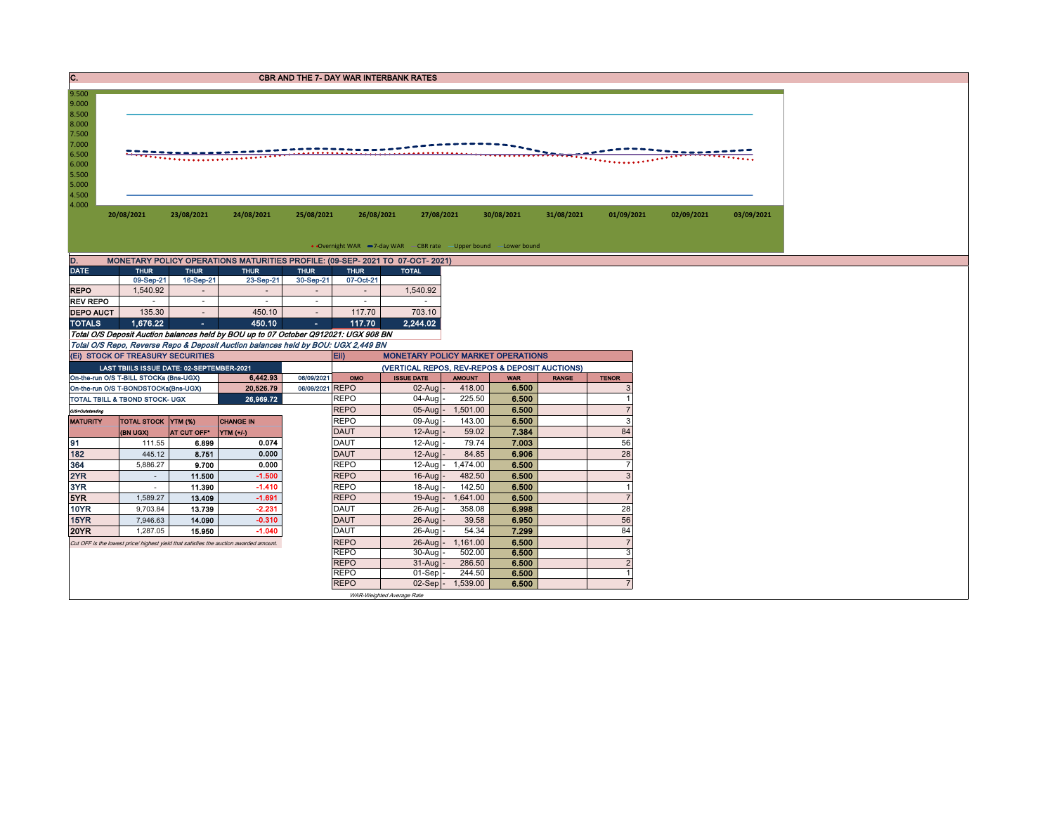| IC.              |                                                                                       |                          |                                                                                     |                                       |                            | <b>CBR AND THE 7- DAY WAR INTERBANK RATES</b>                                              |                             |                |               |                      |            |            |
|------------------|---------------------------------------------------------------------------------------|--------------------------|-------------------------------------------------------------------------------------|---------------------------------------|----------------------------|--------------------------------------------------------------------------------------------|-----------------------------|----------------|---------------|----------------------|------------|------------|
| 9.500            |                                                                                       |                          |                                                                                     |                                       |                            |                                                                                            |                             |                |               |                      |            |            |
| 9.000            |                                                                                       |                          |                                                                                     |                                       |                            |                                                                                            |                             |                |               |                      |            |            |
| 8.500<br>8.000   |                                                                                       |                          |                                                                                     |                                       |                            |                                                                                            |                             |                |               |                      |            |            |
| 7.500            |                                                                                       |                          |                                                                                     |                                       |                            |                                                                                            |                             |                |               |                      |            |            |
| 7.000            |                                                                                       |                          |                                                                                     |                                       |                            |                                                                                            |                             |                |               |                      |            |            |
| 6.500            |                                                                                       |                          |                                                                                     |                                       |                            |                                                                                            |                             |                | . <del></del> |                      |            |            |
| 6.000<br>5.500   |                                                                                       |                          |                                                                                     |                                       |                            |                                                                                            |                             |                |               |                      |            |            |
| 5.000            |                                                                                       |                          |                                                                                     |                                       |                            |                                                                                            |                             |                |               |                      |            |            |
| 4.500            |                                                                                       |                          |                                                                                     |                                       |                            |                                                                                            |                             |                |               |                      |            |            |
| 4.000            | 20/08/2021                                                                            | 23/08/2021               | 24/08/2021                                                                          | 25/08/2021                            | 26/08/2021                 | 27/08/2021                                                                                 |                             | 30/08/2021     | 31/08/2021    | 01/09/2021           | 02/09/2021 | 03/09/2021 |
|                  |                                                                                       |                          |                                                                                     |                                       |                            |                                                                                            |                             |                |               |                      |            |            |
|                  |                                                                                       |                          |                                                                                     |                                       |                            |                                                                                            |                             |                |               |                      |            |            |
|                  |                                                                                       |                          |                                                                                     |                                       |                            | • Overnight WAR -7-day WAR - CBR rate - Upper bound - Lower bound                          |                             |                |               |                      |            |            |
| D.               |                                                                                       |                          | MONETARY POLICY OPERATIONS MATURITIES PROFILE: (09-SEP- 2021 TO 07-OCT- 2021)       |                                       |                            |                                                                                            |                             |                |               |                      |            |            |
| <b>DATE</b>      | <b>THUR</b>                                                                           | <b>THUR</b>              | <b>THUR</b>                                                                         | <b>THUR</b>                           | <b>THUR</b>                | <b>TOTAL</b>                                                                               |                             |                |               |                      |            |            |
| <b>REPO</b>      | 09-Sep-21<br>1,540.92                                                                 | 16-Sep-21<br>$\sim$      | 23-Sep-21<br>$\sim$                                                                 | 30-Sep-21<br>$\overline{\phantom{a}}$ | 07-Oct-21<br>$\sim$        | 1,540.92                                                                                   |                             |                |               |                      |            |            |
| <b>REV REPO</b>  |                                                                                       | $\sim$                   | $\sim$                                                                              | $\sim$                                | $\sim$                     |                                                                                            |                             |                |               |                      |            |            |
| <b>DEPO AUCT</b> | 135.30                                                                                | $\overline{\phantom{a}}$ | 450.10                                                                              | $\sim$                                | 117.70                     | 703.10                                                                                     |                             |                |               |                      |            |            |
| <b>TOTALS</b>    | 1.676.22                                                                              | ъ.                       | 450.10                                                                              | $\sim 10$                             | 117.70                     | 2.244.02                                                                                   |                             |                |               |                      |            |            |
|                  |                                                                                       |                          | Total O/S Deposit Auction balances held by BOU up to 07 October Q912021: UGX 908 BN |                                       |                            |                                                                                            |                             |                |               |                      |            |            |
|                  |                                                                                       |                          | Total O/S Repo, Reverse Repo & Deposit Auction balances held by BOU: UGX 2,449 BN   |                                       |                            |                                                                                            |                             |                |               |                      |            |            |
|                  | (EI) STOCK OF TREASURY SECURITIES<br>LAST TBIILS ISSUE DATE: 02-SEPTEMBER-2021        |                          |                                                                                     |                                       | Eii)                       | <b>MONETARY POLICY MARKET OPERATIONS</b><br>(VERTICAL REPOS, REV-REPOS & DEPOSIT AUCTIONS) |                             |                |               |                      |            |            |
|                  | On-the-run O/S T-BILL STOCKs (Bns-UGX)                                                |                          | 6,442.93                                                                            | 06/09/2021                            | OMO                        | <b>ISSUE DATE</b>                                                                          | <b>AMOUNT</b>               | <b>WAR</b>     | <b>RANGE</b>  | <b>TENOR</b>         |            |            |
|                  | On-the-run O/S T-BONDSTOCKs(Bns-UGX)                                                  |                          | 20,526.79                                                                           | 06/09/2021 REPO                       |                            | $02$ -Aug -                                                                                | 418.00                      | 6.500          |               | 3                    |            |            |
|                  | TOTAL TBILL & TBOND STOCK- UGX                                                        |                          | 26,969.72                                                                           |                                       | <b>REPO</b>                | 04-Aug                                                                                     | 225.50                      | 6.500          |               | $\overline{1}$       |            |            |
| O/S=Outstanding  |                                                                                       |                          |                                                                                     |                                       | <b>REPO</b>                | $05$ -Aug -                                                                                | 1,501.00                    | 6.500          |               | $\overline{7}$       |            |            |
| <b>MATURITY</b>  | <b>TOTAL STOCK YTM (%)</b>                                                            |                          | <b>CHANGE IN</b>                                                                    |                                       | <b>REPO</b>                | 09-Aug                                                                                     | 143.00                      | 6.500          |               | 3                    |            |            |
| 91               | (BN UGX)                                                                              | AT CUT OFF <sup>®</sup>  | <b>YTM</b> (+/-)<br>0.074                                                           |                                       | <b>DAUT</b><br><b>DAUT</b> | $12-Auq$<br>12-Augl                                                                        | 59.02<br>79.74              | 7.384<br>7.003 |               | 84<br>56             |            |            |
| 182              | 111.55<br>445.12                                                                      | 6.899<br>8.751           | 0.000                                                                               |                                       | <b>DAUT</b>                | $12-Auq$                                                                                   | 84.85                       | 6.906          |               | 28                   |            |            |
| 364              | 5,886.27                                                                              | 9.700                    | 0.000                                                                               |                                       | <b>REPO</b>                | $12$ -Aug $-$                                                                              | 1,474.00                    | 6.500          |               | $\overline{7}$       |            |            |
| 2YR              | $\sim$                                                                                | 11.500                   | $-1.500$                                                                            |                                       | <b>REPO</b>                | $16$ -Aug                                                                                  | 482.50                      | 6.500          |               | 3                    |            |            |
| 3YR              | $\sim$                                                                                | 11.390                   | $-1.410$                                                                            |                                       | <b>REPO</b>                | $18-Auq$                                                                                   | 142.50                      | 6.500          |               | $\overline{1}$       |            |            |
| 5YR              | 1,589.27                                                                              | 13.409                   | $-1.691$                                                                            |                                       | <b>REPO</b>                | $19$ -Aug $-$                                                                              | 1,641.00                    | 6.500          |               | $\overline{7}$       |            |            |
| 10YR             | 9,703.84                                                                              | 13.739                   | $-2.231$                                                                            |                                       | <b>DAUT</b>                | $26$ -Aug                                                                                  | 358.08                      | 6.998          |               | 28                   |            |            |
| 15YR             | 7,946.63                                                                              | 14.090                   | $-0.310$                                                                            |                                       | <b>DAUT</b>                | $26$ -Aug                                                                                  | 39.58                       | 6.950          |               | 56                   |            |            |
| <b>20YR</b>      | 1,287.05                                                                              | 15.950                   | $-1.040$                                                                            |                                       | <b>DAUT</b>                | 26-Aug                                                                                     | 54.34                       | 7.299          |               | 84<br>$\overline{7}$ |            |            |
|                  | Cut OFF is the lowest price/ highest yield that satisfies the auction awarded amount. |                          |                                                                                     |                                       | <b>REPO</b><br><b>REPO</b> | 30-Augl                                                                                    | 26-Aug - 1,161.00<br>502.00 | 6.500<br>6.500 |               | 3                    |            |            |
|                  |                                                                                       |                          |                                                                                     |                                       | <b>REPO</b>                | $31-Aug$                                                                                   | 286.50                      | 6.500          |               | $\overline{2}$       |            |            |
|                  |                                                                                       |                          |                                                                                     |                                       | <b>REPO</b>                | $01-Sep$ .                                                                                 | 244.50                      | 6.500          |               | $\overline{1}$       |            |            |
|                  |                                                                                       |                          |                                                                                     |                                       | <b>REPO</b>                |                                                                                            | $02-Sep$ - 1,539.00         | 6.500          |               | $\overline{7}$       |            |            |
|                  |                                                                                       |                          |                                                                                     |                                       |                            | WAR-Weighted Average Rate                                                                  |                             |                |               |                      |            |            |